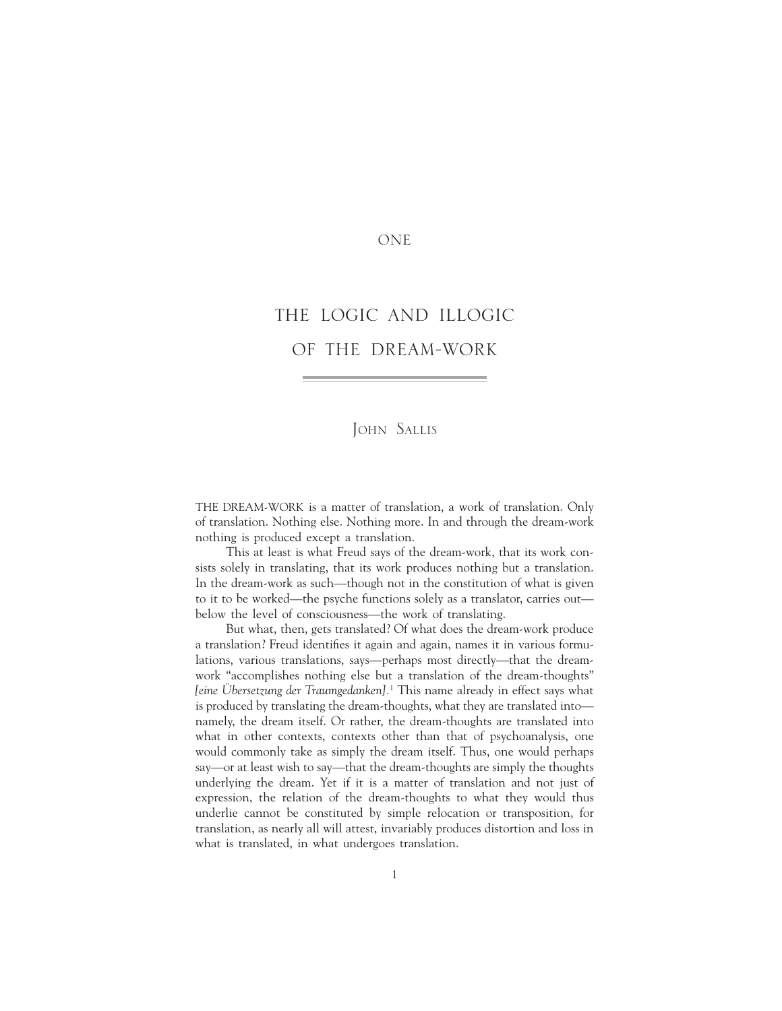## ONE

## THE LOGIC AND ILLOGIC OF THE DREAM-WORK

## JOHN SALLIS

THE DREAM-WORK is a matter of translation, a work of translation. Only of translation. Nothing else. Nothing more. In and through the dream-work nothing is produced except a translation.

This at least is what Freud says of the dream-work, that its work consists solely in translating, that its work produces nothing but a translation. In the dream-work as such—though not in the constitution of what is given to it to be worked—the psyche functions solely as a translator, carries out below the level of consciousness—the work of translating.

But what, then, gets translated? Of what does the dream-work produce a translation? Freud identifies it again and again, names it in various formulations, various translations, says—perhaps most directly—that the dreamwork "accomplishes nothing else but a translation of the dream-thoughts" *[eine Übersetzung der Traumgedanken].*<sup>1</sup> This name already in effect says what is produced by translating the dream-thoughts, what they are translated into namely, the dream itself. Or rather, the dream-thoughts are translated into what in other contexts, contexts other than that of psychoanalysis, one would commonly take as simply the dream itself. Thus, one would perhaps say—or at least wish to say—that the dream-thoughts are simply the thoughts underlying the dream. Yet if it is a matter of translation and not just of expression, the relation of the dream-thoughts to what they would thus underlie cannot be constituted by simple relocation or transposition, for translation, as nearly all will attest, invariably produces distortion and loss in what is translated, in what undergoes translation.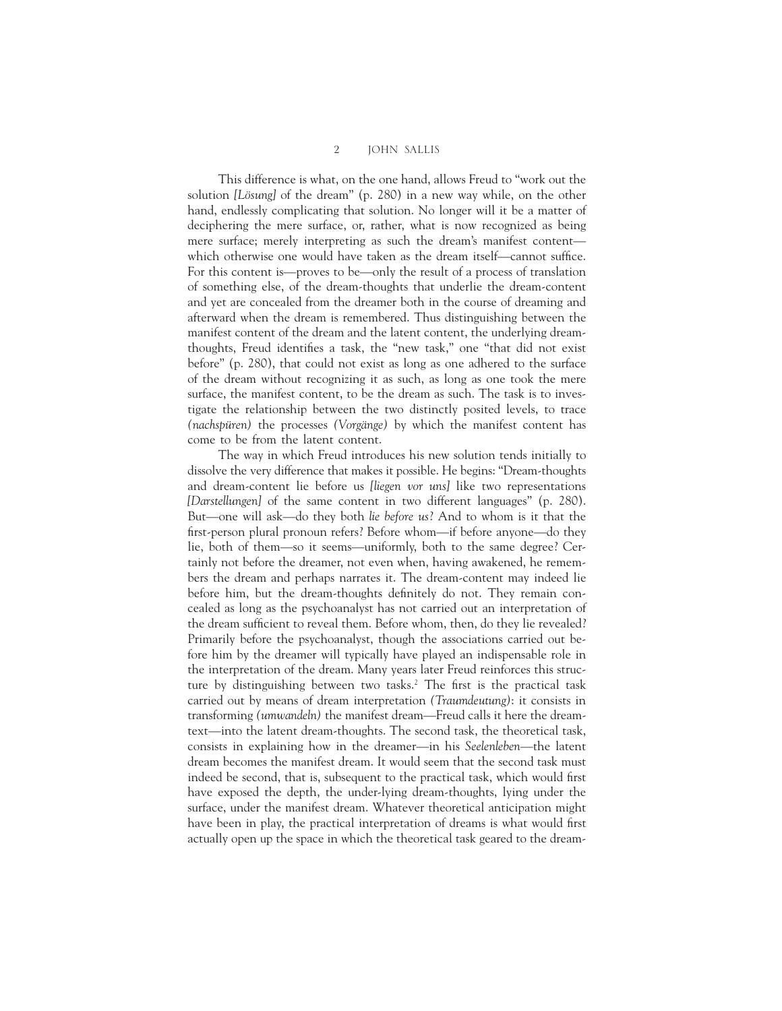This difference is what, on the one hand, allows Freud to "work out the solution *[Lösung]* of the dream" (p. 280) in a new way while, on the other hand, endlessly complicating that solution. No longer will it be a matter of deciphering the mere surface, or, rather, what is now recognized as being mere surface; merely interpreting as such the dream's manifest content which otherwise one would have taken as the dream itself—cannot suffice. For this content is—proves to be—only the result of a process of translation of something else, of the dream-thoughts that underlie the dream-content and yet are concealed from the dreamer both in the course of dreaming and afterward when the dream is remembered. Thus distinguishing between the manifest content of the dream and the latent content, the underlying dreamthoughts, Freud identifies a task, the "new task," one "that did not exist before" (p. 280), that could not exist as long as one adhered to the surface of the dream without recognizing it as such, as long as one took the mere surface, the manifest content, to be the dream as such. The task is to investigate the relationship between the two distinctly posited levels, to trace *(nachspüren)* the processes *(Vorgänge)* by which the manifest content has come to be from the latent content.

The way in which Freud introduces his new solution tends initially to dissolve the very difference that makes it possible. He begins: "Dream-thoughts and dream-content lie before us *[liegen vor uns]* like two representations *[Darstellungen]* of the same content in two different languages" (p. 280). But—one will ask—do they both *lie before us*? And to whom is it that the first-person plural pronoun refers? Before whom—if before anyone—do they lie, both of them—so it seems—uniformly, both to the same degree? Certainly not before the dreamer, not even when, having awakened, he remembers the dream and perhaps narrates it. The dream-content may indeed lie before him, but the dream-thoughts definitely do not. They remain concealed as long as the psychoanalyst has not carried out an interpretation of the dream sufficient to reveal them. Before whom, then, do they lie revealed? Primarily before the psychoanalyst, though the associations carried out before him by the dreamer will typically have played an indispensable role in the interpretation of the dream. Many years later Freud reinforces this structure by distinguishing between two tasks.<sup>2</sup> The first is the practical task carried out by means of dream interpretation *(Traumdeutung)*: it consists in transforming *(umwandeln)* the manifest dream—Freud calls it here the dreamtext—into the latent dream-thoughts. The second task, the theoretical task, consists in explaining how in the dreamer—in his *Seelenleben*—the latent dream becomes the manifest dream. It would seem that the second task must indeed be second, that is, subsequent to the practical task, which would first have exposed the depth, the under-lying dream-thoughts, lying under the surface, under the manifest dream. Whatever theoretical anticipation might have been in play, the practical interpretation of dreams is what would first actually open up the space in which the theoretical task geared to the dream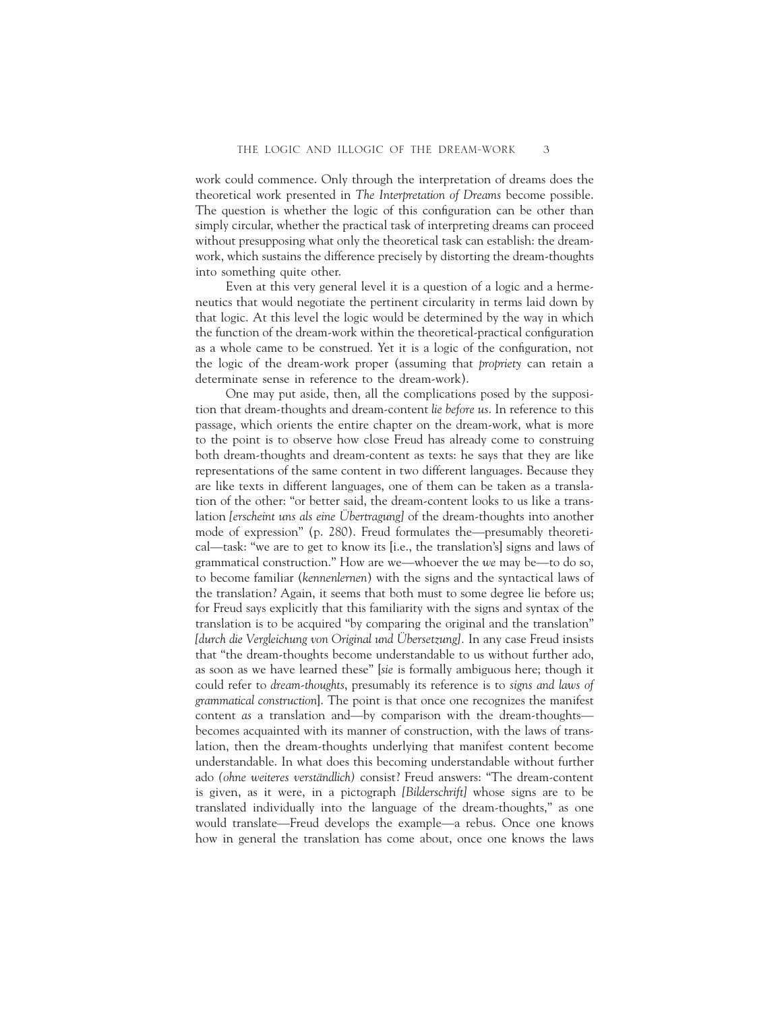work could commence. Only through the interpretation of dreams does the theoretical work presented in *The Interpretation of Dreams* become possible. The question is whether the logic of this configuration can be other than simply circular, whether the practical task of interpreting dreams can proceed without presupposing what only the theoretical task can establish: the dreamwork, which sustains the difference precisely by distorting the dream-thoughts into something quite other.

Even at this very general level it is a question of a logic and a hermeneutics that would negotiate the pertinent circularity in terms laid down by that logic. At this level the logic would be determined by the way in which the function of the dream-work within the theoretical-practical configuration as a whole came to be construed. Yet it is a logic of the configuration, not the logic of the dream-work proper (assuming that *propriety* can retain a determinate sense in reference to the dream-work).

One may put aside, then, all the complications posed by the supposition that dream-thoughts and dream-content *lie before us*. In reference to this passage, which orients the entire chapter on the dream-work, what is more to the point is to observe how close Freud has already come to construing both dream-thoughts and dream-content as texts: he says that they are like representations of the same content in two different languages. Because they are like texts in different languages, one of them can be taken as a translation of the other: "or better said, the dream-content looks to us like a translation *[erscheint uns als eine Übertragung]* of the dream-thoughts into another mode of expression" (p. 280). Freud formulates the—presumably theoretical—task: "we are to get to know its [i.e., the translation's] signs and laws of grammatical construction." How are we—whoever the *we* may be—to do so, to become familiar (*kennenlernen*) with the signs and the syntactical laws of the translation? Again, it seems that both must to some degree lie before us; for Freud says explicitly that this familiarity with the signs and syntax of the translation is to be acquired "by comparing the original and the translation" *[durch die Vergleichung von Original und Übersetzung].* In any case Freud insists that "the dream-thoughts become understandable to us without further ado, as soon as we have learned these" [*sie* is formally ambiguous here; though it could refer to *dream-thoughts*, presumably its reference is to *signs and laws of grammatical construction*]. The point is that once one recognizes the manifest content *as* a translation and—by comparison with the dream-thoughts becomes acquainted with its manner of construction, with the laws of translation, then the dream-thoughts underlying that manifest content become understandable. In what does this becoming understandable without further ado *(ohne weiteres verständlich)* consist? Freud answers: "The dream-content is given, as it were, in a pictograph *[Bilderschrift]* whose signs are to be translated individually into the language of the dream-thoughts," as one would translate—Freud develops the example—a rebus. Once one knows how in general the translation has come about, once one knows the laws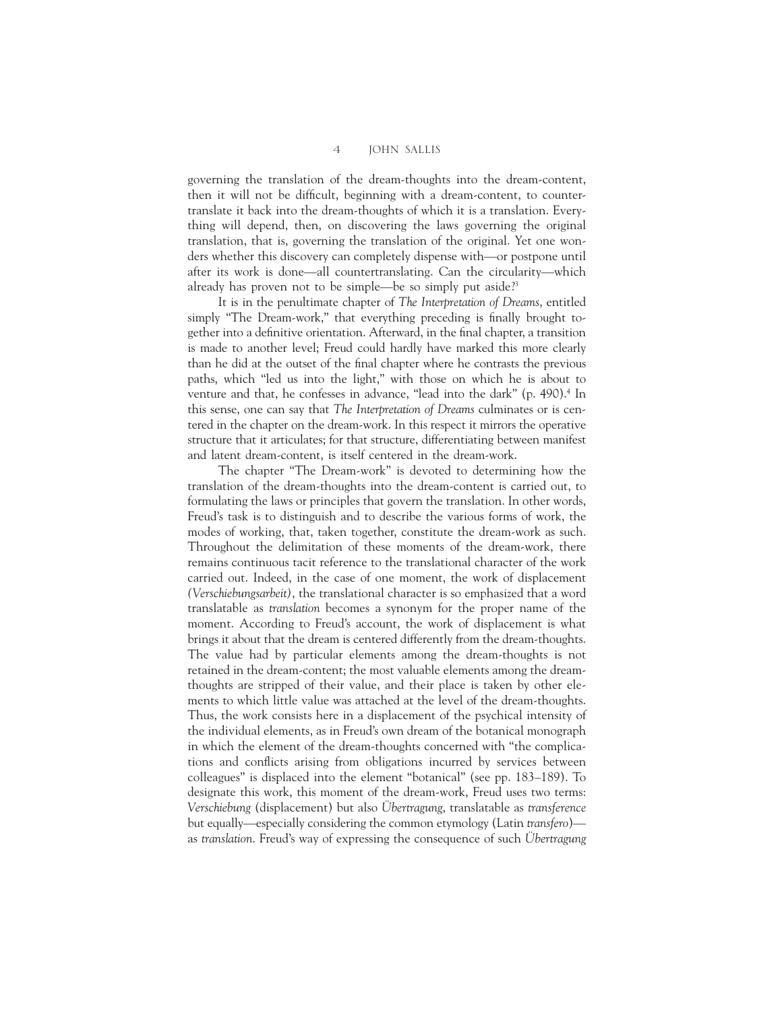governing the translation of the dream-thoughts into the dream-content, then it will not be difficult, beginning with a dream-content, to countertranslate it back into the dream-thoughts of which it is a translation. Everything will depend, then, on discovering the laws governing the original translation, that is, governing the translation of the original. Yet one wonders whether this discovery can completely dispense with—or postpone until after its work is done—all countertranslating. Can the circularity—which already has proven not to be simple—be so simply put aside?<sup>3</sup>

It is in the penultimate chapter of *The Interpretation of Dreams*, entitled simply "The Dream-work," that everything preceding is finally brought together into a definitive orientation. Afterward, in the final chapter, a transition is made to another level; Freud could hardly have marked this more clearly than he did at the outset of the final chapter where he contrasts the previous paths, which "led us into the light," with those on which he is about to venture and that, he confesses in advance, "lead into the dark" (p. 490).<sup>4</sup> In this sense, one can say that *The Interpretation of Dreams* culminates or is centered in the chapter on the dream-work. In this respect it mirrors the operative structure that it articulates; for that structure, differentiating between manifest and latent dream-content, is itself centered in the dream-work.

The chapter "The Dream-work" is devoted to determining how the translation of the dream-thoughts into the dream-content is carried out, to formulating the laws or principles that govern the translation. In other words, Freud's task is to distinguish and to describe the various forms of work, the modes of working, that, taken together, constitute the dream-work as such. Throughout the delimitation of these moments of the dream-work, there remains continuous tacit reference to the translational character of the work carried out. Indeed, in the case of one moment, the work of displacement *(Verschiebungsarbeit)*, the translational character is so emphasized that a word translatable as *translation* becomes a synonym for the proper name of the moment. According to Freud's account, the work of displacement is what brings it about that the dream is centered differently from the dream-thoughts. The value had by particular elements among the dream-thoughts is not retained in the dream-content; the most valuable elements among the dreamthoughts are stripped of their value, and their place is taken by other elements to which little value was attached at the level of the dream-thoughts. Thus, the work consists here in a displacement of the psychical intensity of the individual elements, as in Freud's own dream of the botanical monograph in which the element of the dream-thoughts concerned with "the complications and conflicts arising from obligations incurred by services between colleagues" is displaced into the element "botanical" (see pp. 183–189). To designate this work, this moment of the dream-work, Freud uses two terms: *Verschiebung* (displacement) but also *Übertragung*, translatable as *transference* but equally—especially considering the common etymology (Latin *transfero*) as *translation*. Freud's way of expressing the consequence of such *Übertragung*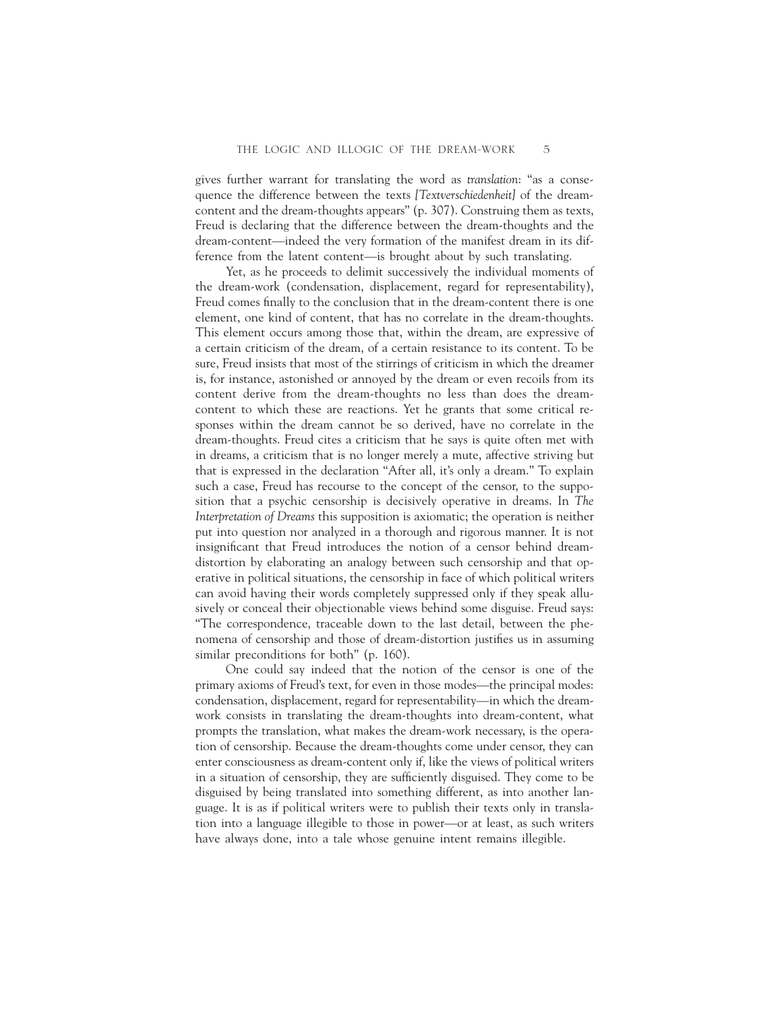gives further warrant for translating the word as *translation*: "as a consequence the difference between the texts *[Textverschiedenheit]* of the dreamcontent and the dream-thoughts appears" (p. 307). Construing them as texts, Freud is declaring that the difference between the dream-thoughts and the dream-content—indeed the very formation of the manifest dream in its difference from the latent content—is brought about by such translating.

Yet, as he proceeds to delimit successively the individual moments of the dream-work (condensation, displacement, regard for representability), Freud comes finally to the conclusion that in the dream-content there is one element, one kind of content, that has no correlate in the dream-thoughts. This element occurs among those that, within the dream, are expressive of a certain criticism of the dream, of a certain resistance to its content. To be sure, Freud insists that most of the stirrings of criticism in which the dreamer is, for instance, astonished or annoyed by the dream or even recoils from its content derive from the dream-thoughts no less than does the dreamcontent to which these are reactions. Yet he grants that some critical responses within the dream cannot be so derived, have no correlate in the dream-thoughts. Freud cites a criticism that he says is quite often met with in dreams, a criticism that is no longer merely a mute, affective striving but that is expressed in the declaration "After all, it's only a dream." To explain such a case, Freud has recourse to the concept of the censor, to the supposition that a psychic censorship is decisively operative in dreams. In *The Interpretation of Dreams* this supposition is axiomatic; the operation is neither put into question nor analyzed in a thorough and rigorous manner. It is not insignificant that Freud introduces the notion of a censor behind dreamdistortion by elaborating an analogy between such censorship and that operative in political situations, the censorship in face of which political writers can avoid having their words completely suppressed only if they speak allusively or conceal their objectionable views behind some disguise. Freud says: "The correspondence, traceable down to the last detail, between the phenomena of censorship and those of dream-distortion justifies us in assuming similar preconditions for both" (p. 160).

One could say indeed that the notion of the censor is one of the primary axioms of Freud's text, for even in those modes—the principal modes: condensation, displacement, regard for representability—in which the dreamwork consists in translating the dream-thoughts into dream-content, what prompts the translation, what makes the dream-work necessary, is the operation of censorship. Because the dream-thoughts come under censor, they can enter consciousness as dream-content only if, like the views of political writers in a situation of censorship, they are sufficiently disguised. They come to be disguised by being translated into something different, as into another language. It is as if political writers were to publish their texts only in translation into a language illegible to those in power—or at least, as such writers have always done, into a tale whose genuine intent remains illegible.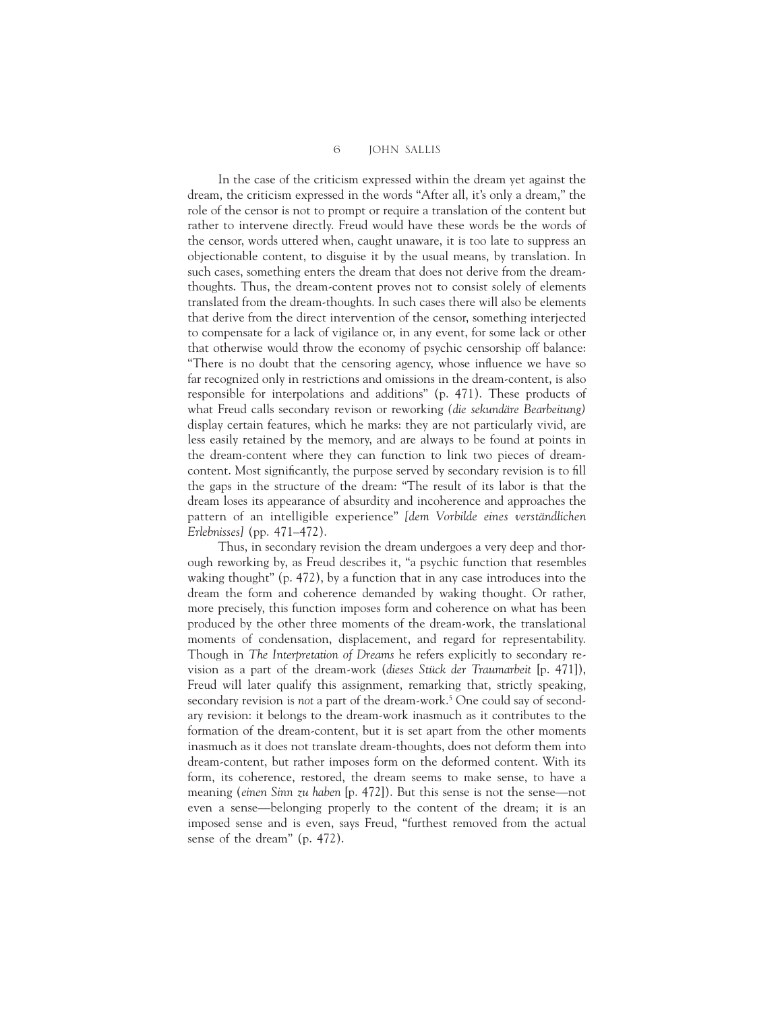In the case of the criticism expressed within the dream yet against the dream, the criticism expressed in the words "After all, it's only a dream," the role of the censor is not to prompt or require a translation of the content but rather to intervene directly. Freud would have these words be the words of the censor, words uttered when, caught unaware, it is too late to suppress an objectionable content, to disguise it by the usual means, by translation. In such cases, something enters the dream that does not derive from the dreamthoughts. Thus, the dream-content proves not to consist solely of elements translated from the dream-thoughts. In such cases there will also be elements that derive from the direct intervention of the censor, something interjected to compensate for a lack of vigilance or, in any event, for some lack or other that otherwise would throw the economy of psychic censorship off balance: "There is no doubt that the censoring agency, whose influence we have so far recognized only in restrictions and omissions in the dream-content, is also responsible for interpolations and additions" (p. 471). These products of what Freud calls secondary revison or reworking *(die sekundäre Bearbeitung)* display certain features, which he marks: they are not particularly vivid, are less easily retained by the memory, and are always to be found at points in the dream-content where they can function to link two pieces of dreamcontent. Most significantly, the purpose served by secondary revision is to fill the gaps in the structure of the dream: "The result of its labor is that the dream loses its appearance of absurdity and incoherence and approaches the pattern of an intelligible experience" *[dem Vorbilde eines verständlichen Erlebnisses]* (pp. 471–472).

Thus, in secondary revision the dream undergoes a very deep and thorough reworking by, as Freud describes it, "a psychic function that resembles waking thought" (p. 472), by a function that in any case introduces into the dream the form and coherence demanded by waking thought. Or rather, more precisely, this function imposes form and coherence on what has been produced by the other three moments of the dream-work, the translational moments of condensation, displacement, and regard for representability. Though in *The Interpretation of Dreams* he refers explicitly to secondary revision as a part of the dream-work (*dieses Stück der Traumarbeit* [p. 471]), Freud will later qualify this assignment, remarking that, strictly speaking, secondary revision is *not* a part of the dream-work.<sup>5</sup> One could say of secondary revision: it belongs to the dream-work inasmuch as it contributes to the formation of the dream-content, but it is set apart from the other moments inasmuch as it does not translate dream-thoughts, does not deform them into dream-content, but rather imposes form on the deformed content. With its form, its coherence, restored, the dream seems to make sense, to have a meaning (*einen Sinn zu haben* [p. 472]). But this sense is not the sense—not even a sense—belonging properly to the content of the dream; it is an imposed sense and is even, says Freud, "furthest removed from the actual sense of the dream" (p. 472).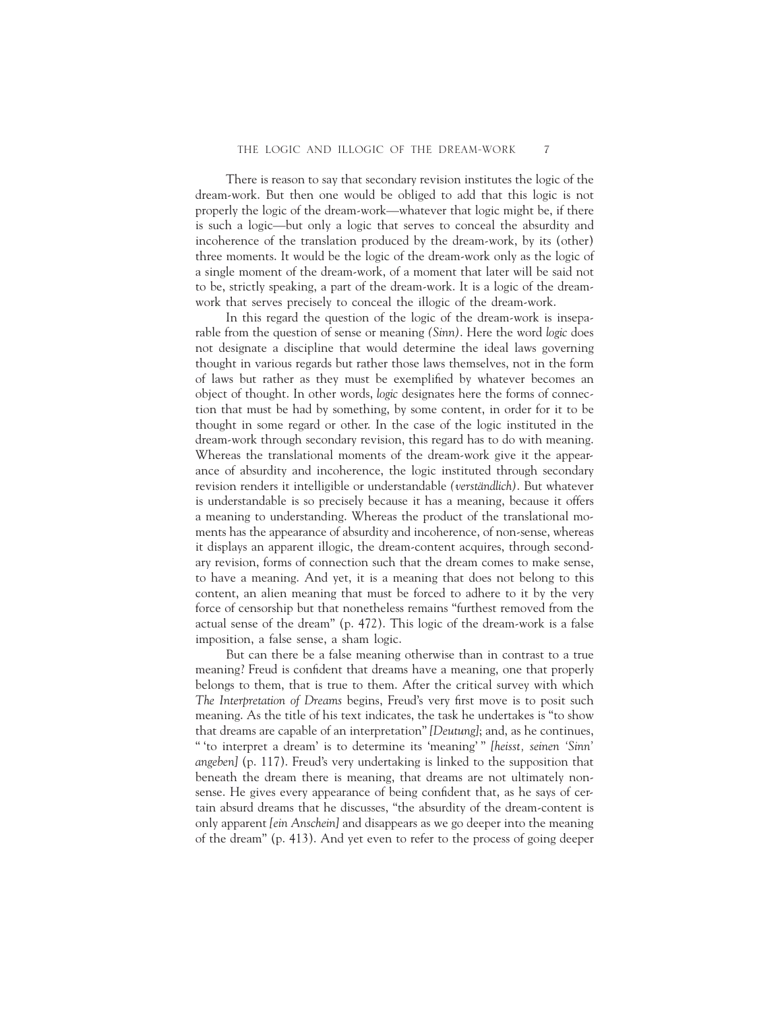There is reason to say that secondary revision institutes the logic of the dream-work. But then one would be obliged to add that this logic is not properly the logic of the dream-work—whatever that logic might be, if there is such a logic—but only a logic that serves to conceal the absurdity and incoherence of the translation produced by the dream-work, by its (other) three moments. It would be the logic of the dream-work only as the logic of a single moment of the dream-work, of a moment that later will be said not to be, strictly speaking, a part of the dream-work. It is a logic of the dreamwork that serves precisely to conceal the illogic of the dream-work.

In this regard the question of the logic of the dream-work is inseparable from the question of sense or meaning *(Sinn)*. Here the word *logic* does not designate a discipline that would determine the ideal laws governing thought in various regards but rather those laws themselves, not in the form of laws but rather as they must be exemplified by whatever becomes an object of thought. In other words, *logic* designates here the forms of connection that must be had by something, by some content, in order for it to be thought in some regard or other. In the case of the logic instituted in the dream-work through secondary revision, this regard has to do with meaning. Whereas the translational moments of the dream-work give it the appearance of absurdity and incoherence, the logic instituted through secondary revision renders it intelligible or understandable *(verständlich)*. But whatever is understandable is so precisely because it has a meaning, because it offers a meaning to understanding. Whereas the product of the translational moments has the appearance of absurdity and incoherence, of non-sense, whereas it displays an apparent illogic, the dream-content acquires, through secondary revision, forms of connection such that the dream comes to make sense, to have a meaning. And yet, it is a meaning that does not belong to this content, an alien meaning that must be forced to adhere to it by the very force of censorship but that nonetheless remains "furthest removed from the actual sense of the dream" (p. 472). This logic of the dream-work is a false imposition, a false sense, a sham logic.

But can there be a false meaning otherwise than in contrast to a true meaning? Freud is confident that dreams have a meaning, one that properly belongs to them, that is true to them. After the critical survey with which *The Interpretation of Dreams* begins, Freud's very first move is to posit such meaning. As the title of his text indicates, the task he undertakes is "to show that dreams are capable of an interpretation" *[Deutung]*; and, as he continues, " 'to interpret a dream' is to determine its 'meaning' " *[heisst, seinen 'Sinn' angeben]* (p. 117). Freud's very undertaking is linked to the supposition that beneath the dream there is meaning, that dreams are not ultimately nonsense. He gives every appearance of being confident that, as he says of certain absurd dreams that he discusses, "the absurdity of the dream-content is only apparent *[ein Anschein]* and disappears as we go deeper into the meaning of the dream" (p. 413). And yet even to refer to the process of going deeper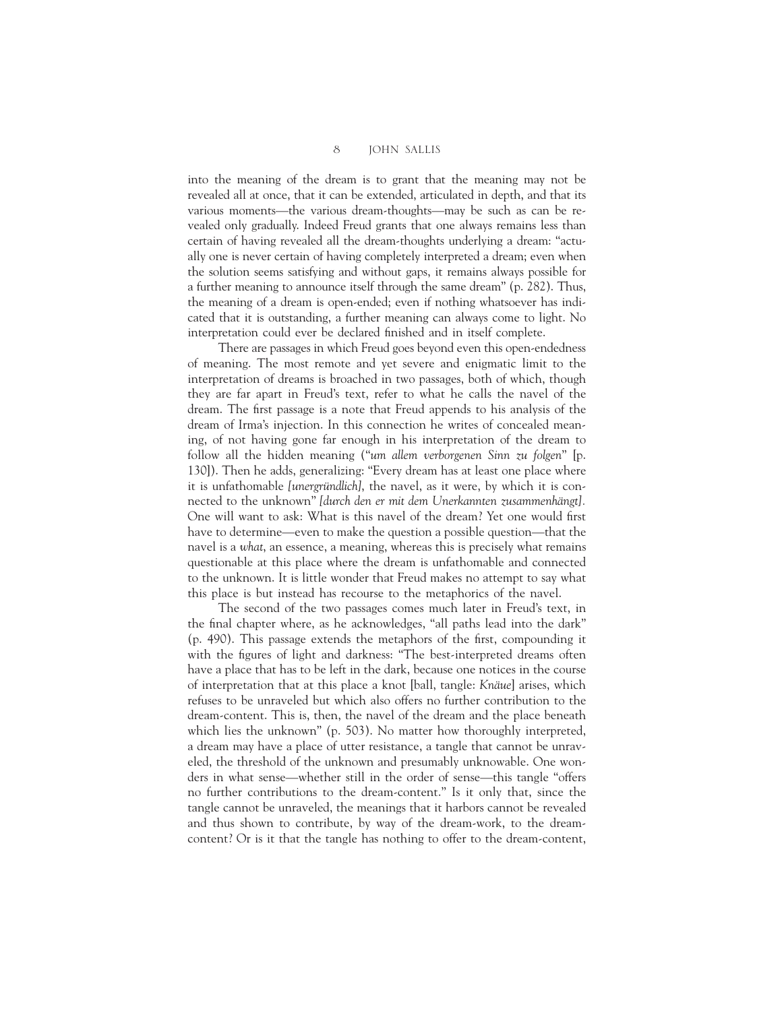into the meaning of the dream is to grant that the meaning may not be revealed all at once, that it can be extended, articulated in depth, and that its various moments—the various dream-thoughts—may be such as can be revealed only gradually. Indeed Freud grants that one always remains less than certain of having revealed all the dream-thoughts underlying a dream: "actually one is never certain of having completely interpreted a dream; even when the solution seems satisfying and without gaps, it remains always possible for a further meaning to announce itself through the same dream" (p. 282). Thus, the meaning of a dream is open-ended; even if nothing whatsoever has indicated that it is outstanding, a further meaning can always come to light. No interpretation could ever be declared finished and in itself complete.

There are passages in which Freud goes beyond even this open-endedness of meaning. The most remote and yet severe and enigmatic limit to the interpretation of dreams is broached in two passages, both of which, though they are far apart in Freud's text, refer to what he calls the navel of the dream. The first passage is a note that Freud appends to his analysis of the dream of Irma's injection. In this connection he writes of concealed meaning, of not having gone far enough in his interpretation of the dream to follow all the hidden meaning ("*um allem verborgenen Sinn zu folgen*" [p. 130]). Then he adds, generalizing: "Every dream has at least one place where it is unfathomable *[unergründlich]*, the navel, as it were, by which it is connected to the unknown" *[durch den er mit dem Unerkannten zusammenhängt].* One will want to ask: What is this navel of the dream? Yet one would first have to determine—even to make the question a possible question—that the navel is a *what*, an essence, a meaning, whereas this is precisely what remains questionable at this place where the dream is unfathomable and connected to the unknown. It is little wonder that Freud makes no attempt to say what this place is but instead has recourse to the metaphorics of the navel.

The second of the two passages comes much later in Freud's text, in the final chapter where, as he acknowledges, "all paths lead into the dark" (p. 490). This passage extends the metaphors of the first, compounding it with the figures of light and darkness: "The best-interpreted dreams often have a place that has to be left in the dark, because one notices in the course of interpretation that at this place a knot [ball, tangle: *Knäue*] arises, which refuses to be unraveled but which also offers no further contribution to the dream-content. This is, then, the navel of the dream and the place beneath which lies the unknown" (p. 503). No matter how thoroughly interpreted, a dream may have a place of utter resistance, a tangle that cannot be unraveled, the threshold of the unknown and presumably unknowable. One wonders in what sense—whether still in the order of sense—this tangle "offers no further contributions to the dream-content." Is it only that, since the tangle cannot be unraveled, the meanings that it harbors cannot be revealed and thus shown to contribute, by way of the dream-work, to the dreamcontent? Or is it that the tangle has nothing to offer to the dream-content,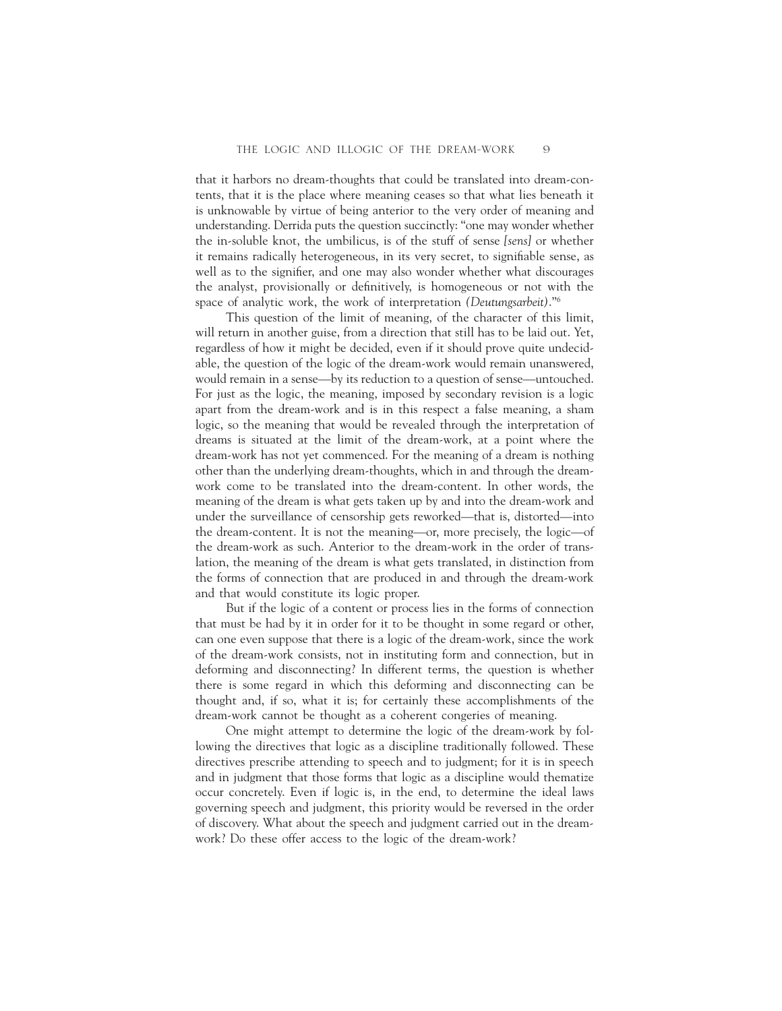that it harbors no dream-thoughts that could be translated into dream-contents, that it is the place where meaning ceases so that what lies beneath it is unknowable by virtue of being anterior to the very order of meaning and understanding. Derrida puts the question succinctly: "one may wonder whether the in-soluble knot, the umbilicus, is of the stuff of sense *[sens]* or whether it remains radically heterogeneous, in its very secret, to signifiable sense, as well as to the signifier, and one may also wonder whether what discourages the analyst, provisionally or definitively, is homogeneous or not with the space of analytic work, the work of interpretation *(Deutungsarbeit)*."6

This question of the limit of meaning, of the character of this limit, will return in another guise, from a direction that still has to be laid out. Yet, regardless of how it might be decided, even if it should prove quite undecidable, the question of the logic of the dream-work would remain unanswered, would remain in a sense—by its reduction to a question of sense—untouched. For just as the logic, the meaning, imposed by secondary revision is a logic apart from the dream-work and is in this respect a false meaning, a sham logic, so the meaning that would be revealed through the interpretation of dreams is situated at the limit of the dream-work, at a point where the dream-work has not yet commenced. For the meaning of a dream is nothing other than the underlying dream-thoughts, which in and through the dreamwork come to be translated into the dream-content. In other words, the meaning of the dream is what gets taken up by and into the dream-work and under the surveillance of censorship gets reworked—that is, distorted—into the dream-content. It is not the meaning—or, more precisely, the logic—of the dream-work as such. Anterior to the dream-work in the order of translation, the meaning of the dream is what gets translated, in distinction from the forms of connection that are produced in and through the dream-work and that would constitute its logic proper.

But if the logic of a content or process lies in the forms of connection that must be had by it in order for it to be thought in some regard or other, can one even suppose that there is a logic of the dream-work, since the work of the dream-work consists, not in instituting form and connection, but in deforming and disconnecting? In different terms, the question is whether there is some regard in which this deforming and disconnecting can be thought and, if so, what it is; for certainly these accomplishments of the dream-work cannot be thought as a coherent congeries of meaning.

One might attempt to determine the logic of the dream-work by following the directives that logic as a discipline traditionally followed. These directives prescribe attending to speech and to judgment; for it is in speech and in judgment that those forms that logic as a discipline would thematize occur concretely. Even if logic is, in the end, to determine the ideal laws governing speech and judgment, this priority would be reversed in the order of discovery. What about the speech and judgment carried out in the dreamwork? Do these offer access to the logic of the dream-work?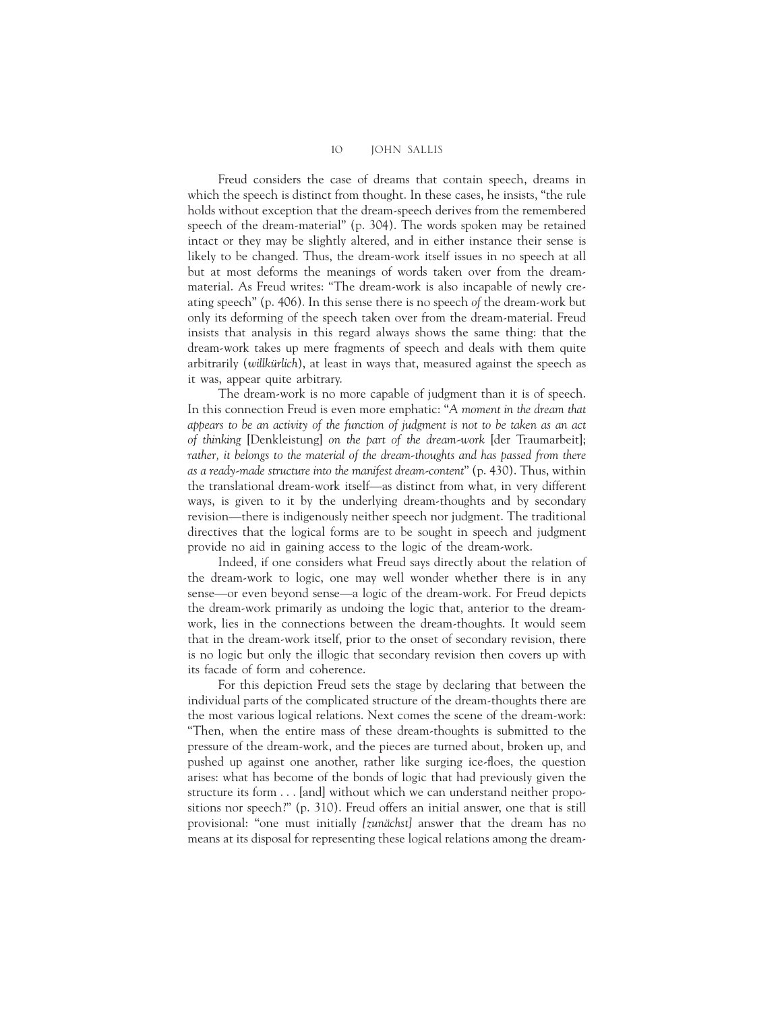Freud considers the case of dreams that contain speech, dreams in which the speech is distinct from thought. In these cases, he insists, "the rule holds without exception that the dream-speech derives from the remembered speech of the dream-material" (p. 304). The words spoken may be retained intact or they may be slightly altered, and in either instance their sense is likely to be changed. Thus, the dream-work itself issues in no speech at all but at most deforms the meanings of words taken over from the dreammaterial. As Freud writes: "The dream-work is also incapable of newly creating speech" (p. 406). In this sense there is no speech *of* the dream-work but only its deforming of the speech taken over from the dream-material. Freud insists that analysis in this regard always shows the same thing: that the dream-work takes up mere fragments of speech and deals with them quite arbitrarily (*willkürlich*), at least in ways that, measured against the speech as it was, appear quite arbitrary.

The dream-work is no more capable of judgment than it is of speech. In this connection Freud is even more emphatic: "*A moment in the dream that appears to be an activity of the function of judgment is not to be taken as an act of thinking* [Denkleistung] *on the part of the dream-work* [der Traumarbeit]; *rather, it belongs to the material of the dream-thoughts and has passed from there as a ready-made structure into the manifest dream-content*" (p. 430). Thus, within the translational dream-work itself—as distinct from what, in very different ways, is given to it by the underlying dream-thoughts and by secondary revision—there is indigenously neither speech nor judgment. The traditional directives that the logical forms are to be sought in speech and judgment provide no aid in gaining access to the logic of the dream-work.

Indeed, if one considers what Freud says directly about the relation of the dream-work to logic, one may well wonder whether there is in any sense—or even beyond sense—a logic of the dream-work. For Freud depicts the dream-work primarily as undoing the logic that, anterior to the dreamwork, lies in the connections between the dream-thoughts. It would seem that in the dream-work itself, prior to the onset of secondary revision, there is no logic but only the illogic that secondary revision then covers up with its facade of form and coherence.

For this depiction Freud sets the stage by declaring that between the individual parts of the complicated structure of the dream-thoughts there are the most various logical relations. Next comes the scene of the dream-work: "Then, when the entire mass of these dream-thoughts is submitted to the pressure of the dream-work, and the pieces are turned about, broken up, and pushed up against one another, rather like surging ice-floes, the question arises: what has become of the bonds of logic that had previously given the structure its form . . . [and] without which we can understand neither propositions nor speech?" (p. 310). Freud offers an initial answer, one that is still provisional: "one must initially *[zunächst]* answer that the dream has no means at its disposal for representing these logical relations among the dream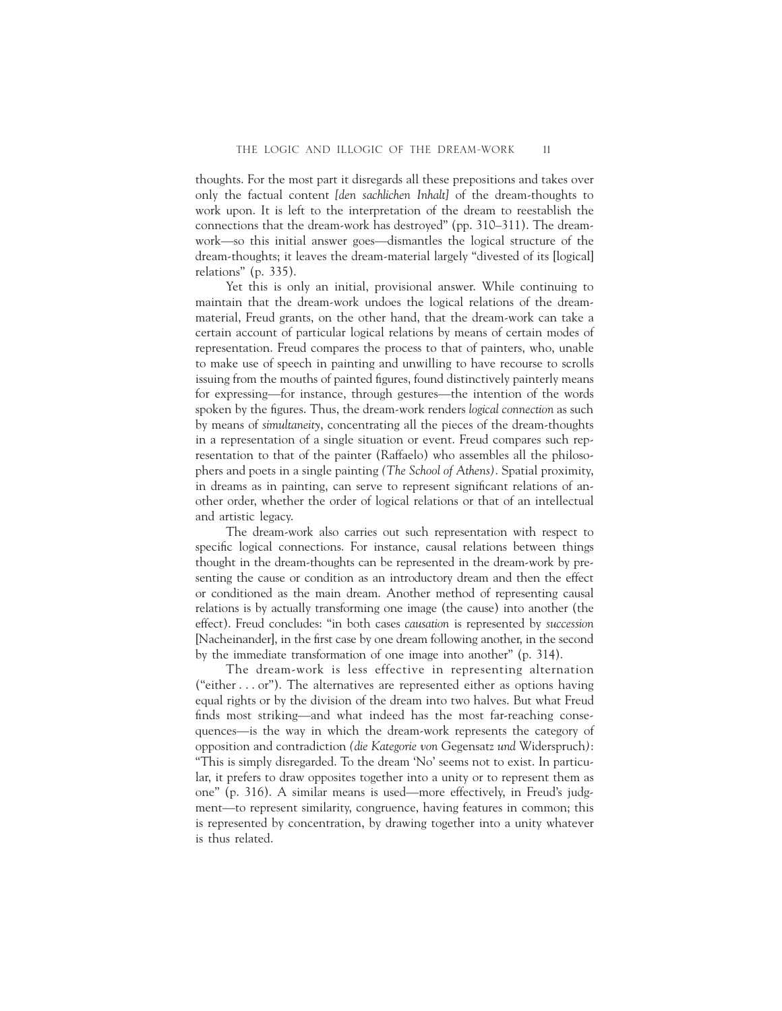thoughts. For the most part it disregards all these prepositions and takes over only the factual content *[den sachlichen Inhalt]* of the dream-thoughts to work upon. It is left to the interpretation of the dream to reestablish the connections that the dream-work has destroyed" (pp. 310–311). The dreamwork—so this initial answer goes—dismantles the logical structure of the dream-thoughts; it leaves the dream-material largely "divested of its [logical] relations" (p. 335).

Yet this is only an initial, provisional answer. While continuing to maintain that the dream-work undoes the logical relations of the dreammaterial, Freud grants, on the other hand, that the dream-work can take a certain account of particular logical relations by means of certain modes of representation. Freud compares the process to that of painters, who, unable to make use of speech in painting and unwilling to have recourse to scrolls issuing from the mouths of painted figures, found distinctively painterly means for expressing—for instance, through gestures—the intention of the words spoken by the figures. Thus, the dream-work renders *logical connection* as such by means of *simultaneity*, concentrating all the pieces of the dream-thoughts in a representation of a single situation or event. Freud compares such representation to that of the painter (Raffaelo) who assembles all the philosophers and poets in a single painting *(The School of Athens)*. Spatial proximity, in dreams as in painting, can serve to represent significant relations of another order, whether the order of logical relations or that of an intellectual and artistic legacy.

The dream-work also carries out such representation with respect to specific logical connections. For instance, causal relations between things thought in the dream-thoughts can be represented in the dream-work by presenting the cause or condition as an introductory dream and then the effect or conditioned as the main dream. Another method of representing causal relations is by actually transforming one image (the cause) into another (the effect). Freud concludes: "in both cases *causation* is represented by *succession* [Nacheinander], in the first case by one dream following another, in the second by the immediate transformation of one image into another" (p. 314).

The dream-work is less effective in representing alternation ("either  $\dots$  or"). The alternatives are represented either as options having equal rights or by the division of the dream into two halves. But what Freud finds most striking—and what indeed has the most far-reaching consequences—is the way in which the dream-work represents the category of opposition and contradiction *(die Kategorie von* Gegensatz *und* Widerspruch*)*: "This is simply disregarded. To the dream 'No' seems not to exist. In particular, it prefers to draw opposites together into a unity or to represent them as one" (p. 316). A similar means is used—more effectively, in Freud's judgment—to represent similarity, congruence, having features in common; this is represented by concentration, by drawing together into a unity whatever is thus related.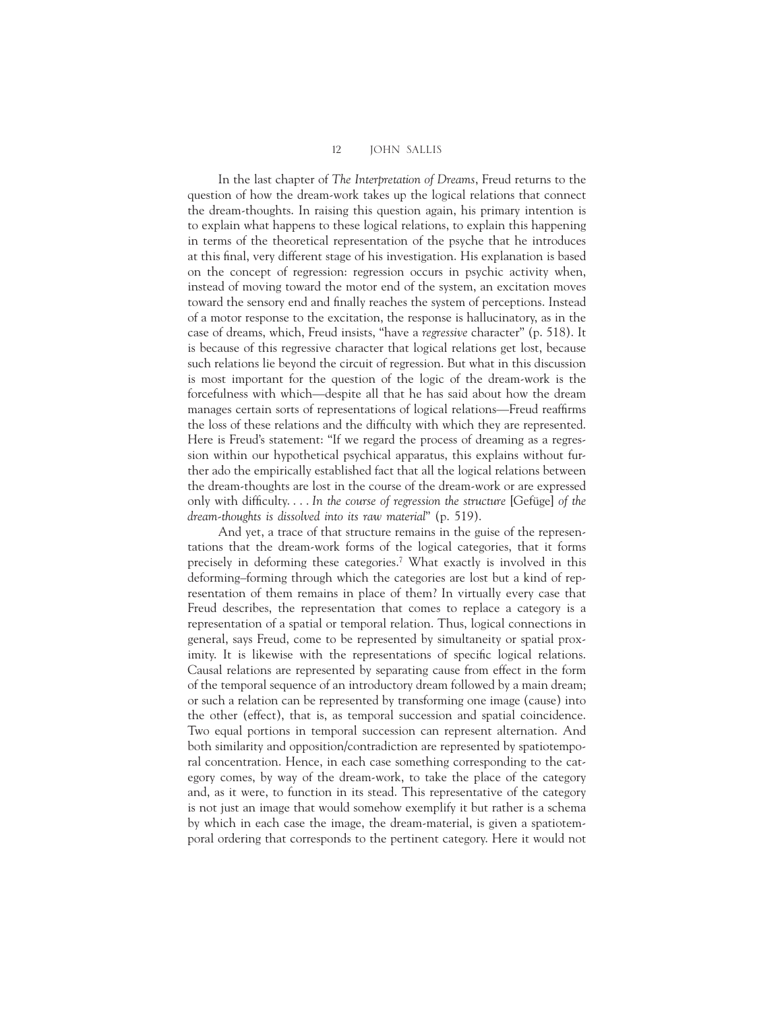In the last chapter of *The Interpretation of Dreams*, Freud returns to the question of how the dream-work takes up the logical relations that connect the dream-thoughts. In raising this question again, his primary intention is to explain what happens to these logical relations, to explain this happening in terms of the theoretical representation of the psyche that he introduces at this final, very different stage of his investigation. His explanation is based on the concept of regression: regression occurs in psychic activity when, instead of moving toward the motor end of the system, an excitation moves toward the sensory end and finally reaches the system of perceptions. Instead of a motor response to the excitation, the response is hallucinatory, as in the case of dreams, which, Freud insists, "have a *regressive* character" (p. 518). It is because of this regressive character that logical relations get lost, because such relations lie beyond the circuit of regression. But what in this discussion is most important for the question of the logic of the dream-work is the forcefulness with which—despite all that he has said about how the dream manages certain sorts of representations of logical relations—Freud reaffirms the loss of these relations and the difficulty with which they are represented. Here is Freud's statement: "If we regard the process of dreaming as a regression within our hypothetical psychical apparatus, this explains without further ado the empirically established fact that all the logical relations between the dream-thoughts are lost in the course of the dream-work or are expressed only with difficulty. . . . *In the course of regression the structure* [Gefüge] *of the dream-thoughts is dissolved into its raw material*" (p. 519).

And yet, a trace of that structure remains in the guise of the representations that the dream-work forms of the logical categories, that it forms precisely in deforming these categories.7 What exactly is involved in this deforming–forming through which the categories are lost but a kind of representation of them remains in place of them? In virtually every case that Freud describes, the representation that comes to replace a category is a representation of a spatial or temporal relation. Thus, logical connections in general, says Freud, come to be represented by simultaneity or spatial proximity. It is likewise with the representations of specific logical relations. Causal relations are represented by separating cause from effect in the form of the temporal sequence of an introductory dream followed by a main dream; or such a relation can be represented by transforming one image (cause) into the other (effect), that is, as temporal succession and spatial coincidence. Two equal portions in temporal succession can represent alternation. And both similarity and opposition/contradiction are represented by spatiotemporal concentration. Hence, in each case something corresponding to the category comes, by way of the dream-work, to take the place of the category and, as it were, to function in its stead. This representative of the category is not just an image that would somehow exemplify it but rather is a schema by which in each case the image, the dream-material, is given a spatiotemporal ordering that corresponds to the pertinent category. Here it would not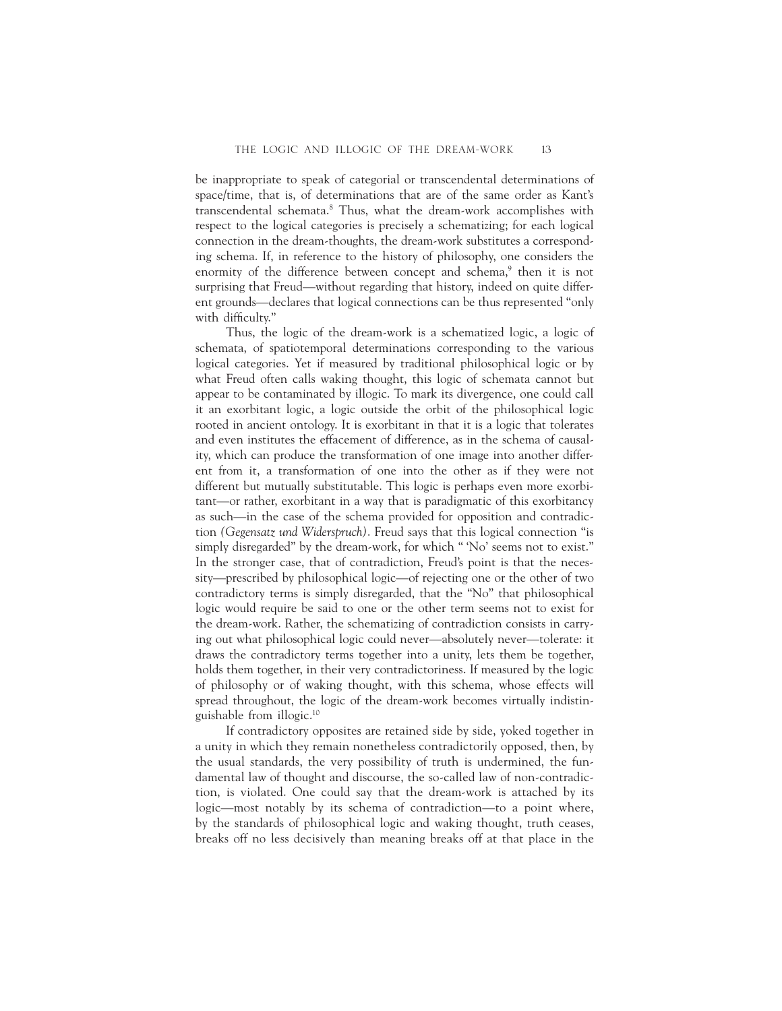be inappropriate to speak of categorial or transcendental determinations of space/time, that is, of determinations that are of the same order as Kant's transcendental schemata.8 Thus, what the dream-work accomplishes with respect to the logical categories is precisely a schematizing; for each logical connection in the dream-thoughts, the dream-work substitutes a corresponding schema. If, in reference to the history of philosophy, one considers the enormity of the difference between concept and schema,<sup>9</sup> then it is not surprising that Freud—without regarding that history, indeed on quite different grounds—declares that logical connections can be thus represented "only with difficulty."

Thus, the logic of the dream-work is a schematized logic, a logic of schemata, of spatiotemporal determinations corresponding to the various logical categories. Yet if measured by traditional philosophical logic or by what Freud often calls waking thought, this logic of schemata cannot but appear to be contaminated by illogic. To mark its divergence, one could call it an exorbitant logic, a logic outside the orbit of the philosophical logic rooted in ancient ontology. It is exorbitant in that it is a logic that tolerates and even institutes the effacement of difference, as in the schema of causality, which can produce the transformation of one image into another different from it, a transformation of one into the other as if they were not different but mutually substitutable. This logic is perhaps even more exorbitant—or rather, exorbitant in a way that is paradigmatic of this exorbitancy as such—in the case of the schema provided for opposition and contradiction *(Gegensatz und Widerspruch)*. Freud says that this logical connection "is simply disregarded" by the dream-work, for which "No' seems not to exist." In the stronger case, that of contradiction, Freud's point is that the necessity—prescribed by philosophical logic—of rejecting one or the other of two contradictory terms is simply disregarded, that the "No" that philosophical logic would require be said to one or the other term seems not to exist for the dream-work. Rather, the schematizing of contradiction consists in carrying out what philosophical logic could never—absolutely never—tolerate: it draws the contradictory terms together into a unity, lets them be together, holds them together, in their very contradictoriness. If measured by the logic of philosophy or of waking thought, with this schema, whose effects will spread throughout, the logic of the dream-work becomes virtually indistinguishable from illogic.10

If contradictory opposites are retained side by side, yoked together in a unity in which they remain nonetheless contradictorily opposed, then, by the usual standards, the very possibility of truth is undermined, the fundamental law of thought and discourse, the so-called law of non-contradiction, is violated. One could say that the dream-work is attached by its logic—most notably by its schema of contradiction—to a point where, by the standards of philosophical logic and waking thought, truth ceases, breaks off no less decisively than meaning breaks off at that place in the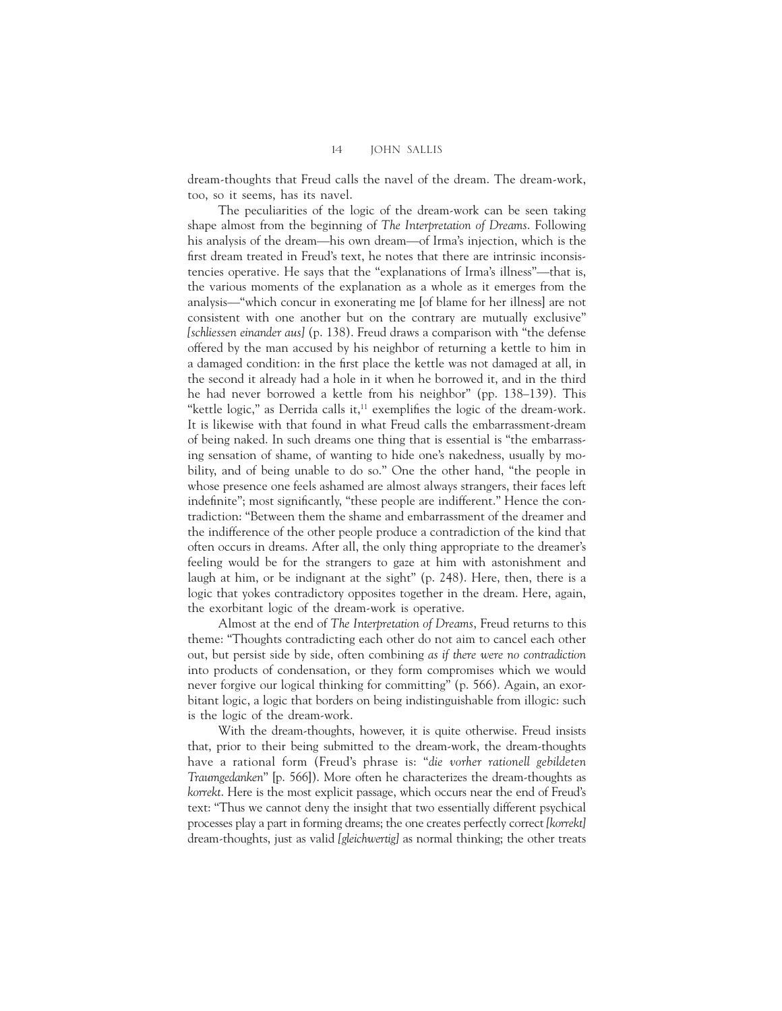dream-thoughts that Freud calls the navel of the dream. The dream-work, too, so it seems, has its navel.

The peculiarities of the logic of the dream-work can be seen taking shape almost from the beginning of *The Interpretation of Dreams*. Following his analysis of the dream—his own dream—of Irma's injection, which is the first dream treated in Freud's text, he notes that there are intrinsic inconsistencies operative. He says that the "explanations of Irma's illness"—that is, the various moments of the explanation as a whole as it emerges from the analysis—"which concur in exonerating me [of blame for her illness] are not consistent with one another but on the contrary are mutually exclusive" *[schliessen einander aus]* (p. 138). Freud draws a comparison with "the defense offered by the man accused by his neighbor of returning a kettle to him in a damaged condition: in the first place the kettle was not damaged at all, in the second it already had a hole in it when he borrowed it, and in the third he had never borrowed a kettle from his neighbor" (pp. 138–139). This "kettle logic," as Derrida calls it, $11$  exemplifies the logic of the dream-work. It is likewise with that found in what Freud calls the embarrassment-dream of being naked. In such dreams one thing that is essential is "the embarrassing sensation of shame, of wanting to hide one's nakedness, usually by mobility, and of being unable to do so." One the other hand, "the people in whose presence one feels ashamed are almost always strangers, their faces left indefinite"; most significantly, "these people are indifferent." Hence the contradiction: "Between them the shame and embarrassment of the dreamer and the indifference of the other people produce a contradiction of the kind that often occurs in dreams. After all, the only thing appropriate to the dreamer's feeling would be for the strangers to gaze at him with astonishment and laugh at him, or be indignant at the sight" (p. 248). Here, then, there is a logic that yokes contradictory opposites together in the dream. Here, again, the exorbitant logic of the dream-work is operative.

Almost at the end of *The Interpretation of Dreams*, Freud returns to this theme: "Thoughts contradicting each other do not aim to cancel each other out, but persist side by side, often combining *as if there were no contradiction* into products of condensation, or they form compromises which we would never forgive our logical thinking for committing" (p. 566). Again, an exorbitant logic, a logic that borders on being indistinguishable from illogic: such is the logic of the dream-work.

With the dream-thoughts, however, it is quite otherwise. Freud insists that, prior to their being submitted to the dream-work, the dream-thoughts have a rational form (Freud's phrase is: "*die vorher rationell gebildeten Traumgedanken*" [p. 566]). More often he characterizes the dream-thoughts as *korrekt*. Here is the most explicit passage, which occurs near the end of Freud's text: "Thus we cannot deny the insight that two essentially different psychical processes play a part in forming dreams; the one creates perfectly correct *[korrekt]* dream-thoughts, just as valid *[gleichwertig]* as normal thinking; the other treats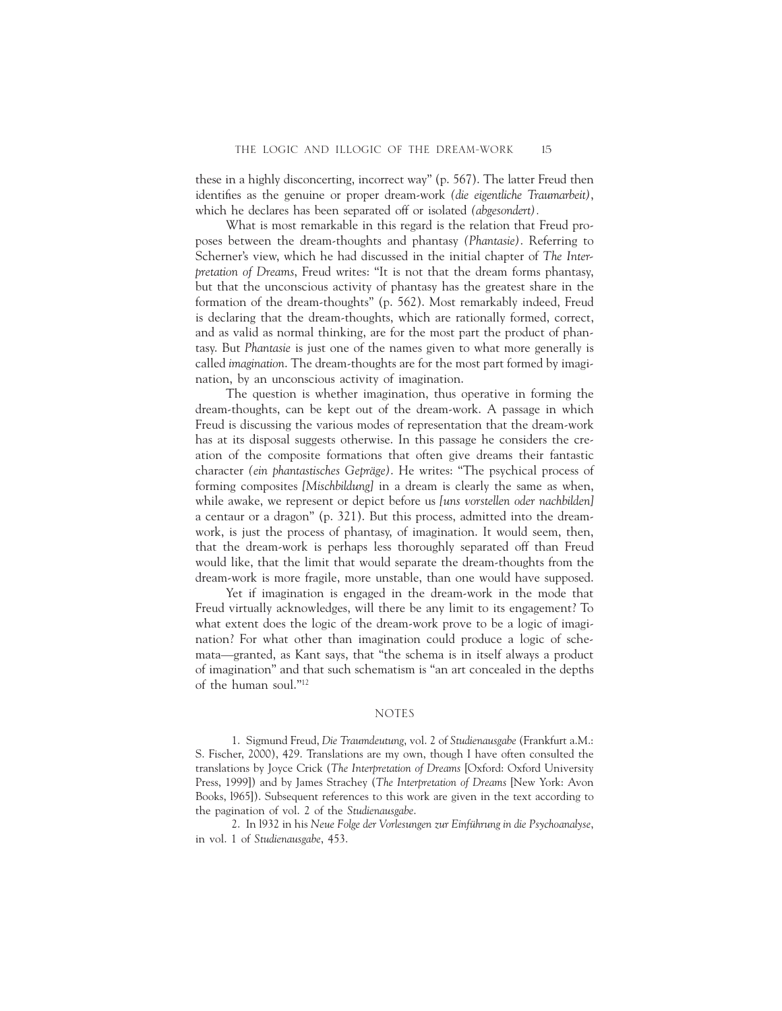these in a highly disconcerting, incorrect way" (p. 567). The latter Freud then identifies as the genuine or proper dream-work *(die eigentliche Traumarbeit)*, which he declares has been separated off or isolated *(abgesondert).*

What is most remarkable in this regard is the relation that Freud proposes between the dream-thoughts and phantasy *(Phantasie)*. Referring to Scherner's view, which he had discussed in the initial chapter of *The Interpretation of Dreams*, Freud writes: "It is not that the dream forms phantasy, but that the unconscious activity of phantasy has the greatest share in the formation of the dream-thoughts" (p. 562). Most remarkably indeed, Freud is declaring that the dream-thoughts, which are rationally formed, correct, and as valid as normal thinking, are for the most part the product of phantasy. But *Phantasie* is just one of the names given to what more generally is called *imagination*. The dream-thoughts are for the most part formed by imagination, by an unconscious activity of imagination.

The question is whether imagination, thus operative in forming the dream-thoughts, can be kept out of the dream-work. A passage in which Freud is discussing the various modes of representation that the dream-work has at its disposal suggests otherwise. In this passage he considers the creation of the composite formations that often give dreams their fantastic character *(ein phantastisches Gepräge)*. He writes: "The psychical process of forming composites *[Mischbildung]* in a dream is clearly the same as when, while awake, we represent or depict before us *[uns vorstellen oder nachbilden]* a centaur or a dragon" (p. 321). But this process, admitted into the dreamwork, is just the process of phantasy, of imagination. It would seem, then, that the dream-work is perhaps less thoroughly separated off than Freud would like, that the limit that would separate the dream-thoughts from the dream-work is more fragile, more unstable, than one would have supposed.

Yet if imagination is engaged in the dream-work in the mode that Freud virtually acknowledges, will there be any limit to its engagement? To what extent does the logic of the dream-work prove to be a logic of imagination? For what other than imagination could produce a logic of schemata—granted, as Kant says, that "the schema is in itself always a product of imagination" and that such schematism is "an art concealed in the depths of the human soul."12

## NOTES

1. Sigmund Freud, *Die Traumdeutung*, vol. 2 of *Studienausgabe* (Frankfurt a.M.: S. Fischer, 2000), 429. Translations are my own, though I have often consulted the translations by Joyce Crick (*The Interpretation of Dreams* [Oxford: Oxford University Press, 1999]) and by James Strachey (*The Interpretation of Dreams* [New York: Avon Books, l965]). Subsequent references to this work are given in the text according to the pagination of vol. 2 of the *Studienausgabe*.

2. In l932 in his *Neue Folge der Vorlesungen zur Einführung in die Psychoanalyse*, in vol. 1 of *Studienausgabe*, 453.